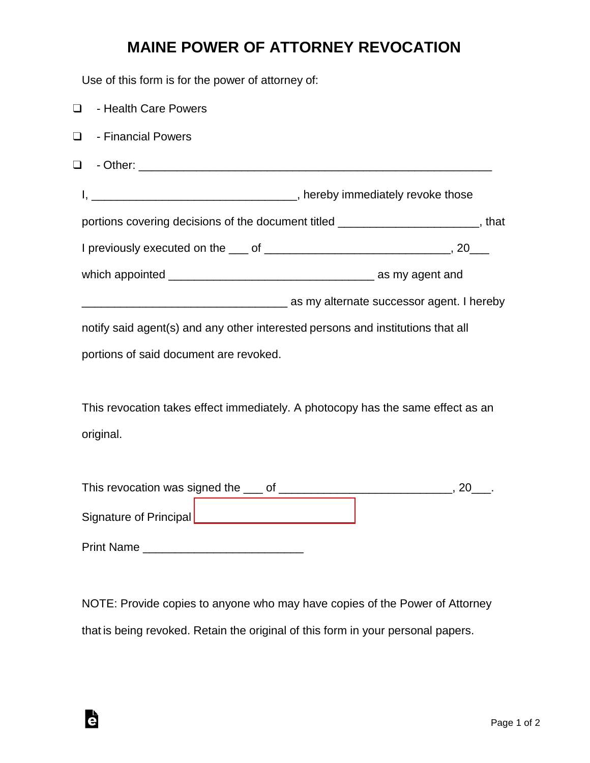## **MAINE POWER OF ATTORNEY REVOCATION**

Use of this form is for the power of attorney of:

| $\Box$<br>- Health Care Powers                                                  |                                                                                                  |  |
|---------------------------------------------------------------------------------|--------------------------------------------------------------------------------------------------|--|
| - Financial Powers<br>$\Box$                                                    |                                                                                                  |  |
| $\Box$                                                                          |                                                                                                  |  |
|                                                                                 |                                                                                                  |  |
|                                                                                 | portions covering decisions of the document titled _______________________, that                 |  |
|                                                                                 |                                                                                                  |  |
|                                                                                 |                                                                                                  |  |
|                                                                                 | as my alternate successor agent. I hereby and the matter of the matter successor agent. I hereby |  |
| notify said agent(s) and any other interested persons and institutions that all |                                                                                                  |  |
| portions of said document are revoked.                                          |                                                                                                  |  |
|                                                                                 |                                                                                                  |  |
|                                                                                 | This revocation takes effect immediately. A photocopy has the same effect as an                  |  |
| original.                                                                       |                                                                                                  |  |
|                                                                                 |                                                                                                  |  |
|                                                                                 |                                                                                                  |  |
|                                                                                 |                                                                                                  |  |

Print Name \_\_\_\_\_\_\_\_\_\_\_\_\_\_\_\_\_\_\_\_\_\_\_\_\_

Ġ

NOTE: Provide copies to anyone who may have copies of the Power of Attorney that is being revoked. Retain the original of this form in your personal papers.